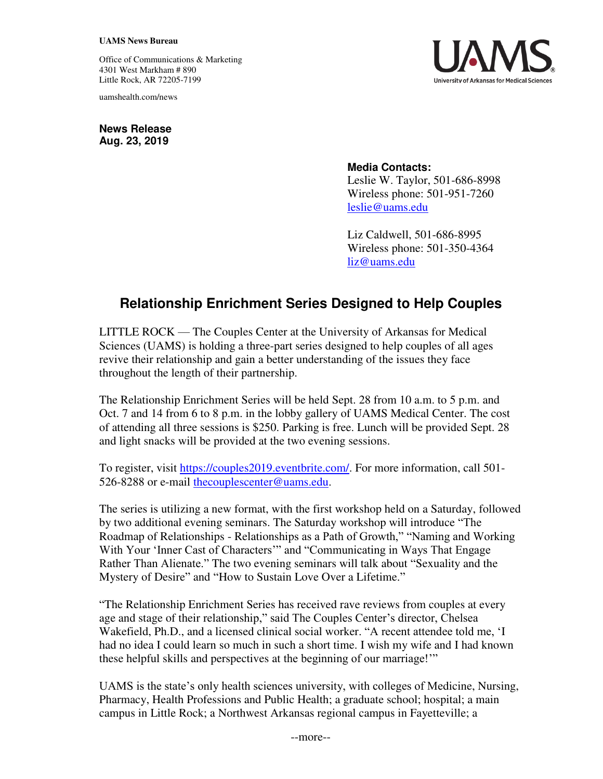## **UAMS News Bureau**

Office of Communications & Marketing 4301 West Markham # 890 Little Rock, AR 72205-7199

uamshealth.com/news



**News Release Aug. 23, 2019**

## **Media Contacts:**

Leslie W. Taylor, 501-686-8998 Wireless phone: 501-951-7260 [leslie@uams.edu](mailto:leslie@uams.edu)

Liz Caldwell, 501-686-8995 Wireless phone: 501-350-4364 [liz@uams.edu](mailto:liz@uams.edu)

## **Relationship Enrichment Series Designed to Help Couples**

LITTLE ROCK — The Couples Center at the University of Arkansas for Medical Sciences (UAMS) is holding a three-part series designed to help couples of all ages revive their relationship and gain a better understanding of the issues they face throughout the length of their partnership.

The Relationship Enrichment Series will be held Sept. 28 from 10 a.m. to 5 p.m. and Oct. 7 and 14 from 6 to 8 p.m. in the lobby gallery of UAMS Medical Center. The cost of attending all three sessions is \$250. Parking is free. Lunch will be provided Sept. 28 and light snacks will be provided at the two evening sessions.

To register, visit [https://couples2019.eventbrite.com/.](https://couples2019.eventbrite.com/) For more information, call 501- 526-8288 or e-mail the couplescenter@uams.edu.

The series is utilizing a new format, with the first workshop held on a Saturday, followed by two additional evening seminars. The Saturday workshop will introduce "The Roadmap of Relationships - Relationships as a Path of Growth," "Naming and Working With Your 'Inner Cast of Characters'" and "Communicating in Ways That Engage Rather Than Alienate." The two evening seminars will talk about "Sexuality and the Mystery of Desire" and "How to Sustain Love Over a Lifetime."

"The Relationship Enrichment Series has received rave reviews from couples at every age and stage of their relationship," said The Couples Center's director, Chelsea Wakefield, Ph.D., and a licensed clinical social worker. "A recent attendee told me, 'I had no idea I could learn so much in such a short time. I wish my wife and I had known these helpful skills and perspectives at the beginning of our marriage!'"

UAMS is the state's only health sciences university, with colleges of Medicine, Nursing, Pharmacy, Health Professions and Public Health; a graduate school; hospital; a main campus in Little Rock; a Northwest Arkansas regional campus in Fayetteville; a